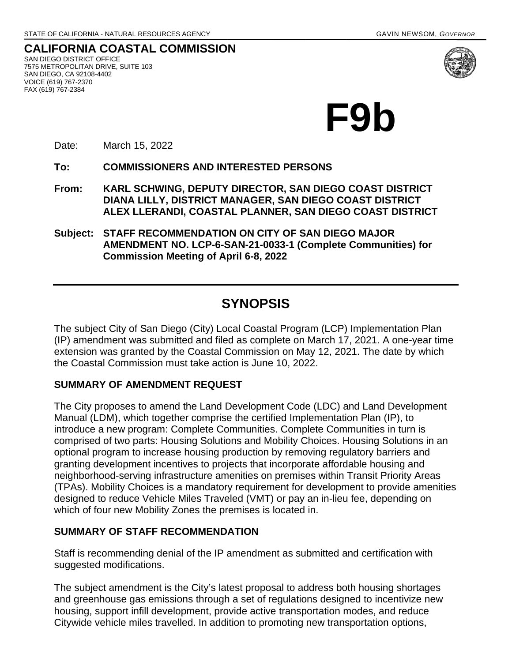**CALIFORNIA COASTAL COMMISSION** SAN DIEGO DISTRICT OFFICE 7575 METROPOLITAN DRIVE, SUITE 103 SAN DIEGO, CA 92108-4402 VOICE (619) 767-2370 FAX (619) 767-2384



**F9b**

Date: March 15, 2022

**To: COMMISSIONERS AND INTERESTED PERSONS** 

**From: KARL SCHWING, DEPUTY DIRECTOR, SAN DIEGO COAST DISTRICT DIANA LILLY, DISTRICT MANAGER, SAN DIEGO COAST DISTRICT ALEX LLERANDI, COASTAL PLANNER, SAN DIEGO COAST DISTRICT**

**Subject: STAFF RECOMMENDATION ON CITY OF SAN DIEGO MAJOR AMENDMENT NO. LCP-6-SAN-21-0033-1 (Complete Communities) for Commission Meeting of April 6-8, 2022**

## **SYNOPSIS**

The subject City of San Diego (City) Local Coastal Program (LCP) Implementation Plan (IP) amendment was submitted and filed as complete on March 17, 2021. A one-year time extension was granted by the Coastal Commission on May 12, 2021. The date by which the Coastal Commission must take action is June 10, 2022.

#### **SUMMARY OF AMENDMENT REQUEST**

The City proposes to amend the Land Development Code (LDC) and Land Development Manual (LDM), which together comprise the certified Implementation Plan (IP), to introduce a new program: Complete Communities. Complete Communities in turn is comprised of two parts: Housing Solutions and Mobility Choices. Housing Solutions in an optional program to increase housing production by removing regulatory barriers and granting development incentives to projects that incorporate affordable housing and neighborhood-serving infrastructure amenities on premises within Transit Priority Areas (TPAs). Mobility Choices is a mandatory requirement for development to provide amenities designed to reduce Vehicle Miles Traveled (VMT) or pay an in-lieu fee, depending on which of four new Mobility Zones the premises is located in.

#### **SUMMARY OF STAFF RECOMMENDATION**

Staff is recommending denial of the IP amendment as submitted and certification with suggested modifications.

The subject amendment is the City's latest proposal to address both housing shortages and greenhouse gas emissions through a set of regulations designed to incentivize new housing, support infill development, provide active transportation modes, and reduce Citywide vehicle miles travelled. In addition to promoting new transportation options,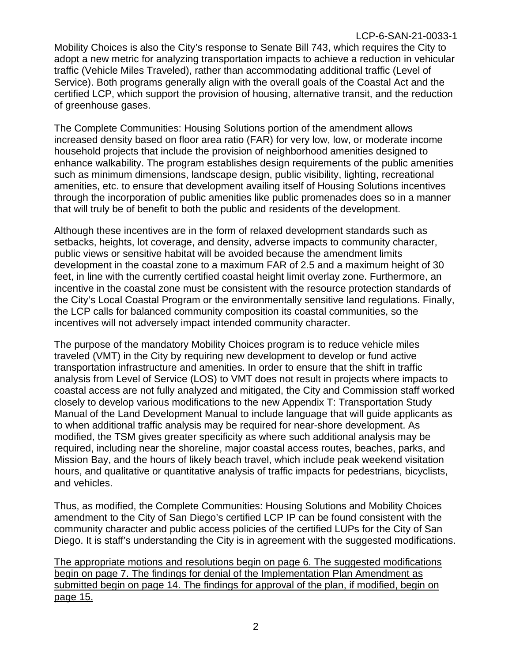Mobility Choices is also the City's response to Senate Bill 743, which requires the City to adopt a new metric for analyzing transportation impacts to achieve a reduction in vehicular traffic (Vehicle Miles Traveled), rather than accommodating additional traffic (Level of Service). Both programs generally align with the overall goals of the Coastal Act and the certified LCP, which support the provision of housing, alternative transit, and the reduction of greenhouse gases.

The Complete Communities: Housing Solutions portion of the amendment allows increased density based on floor area ratio (FAR) for very low, low, or moderate income household projects that include the provision of neighborhood amenities designed to enhance walkability. The program establishes design requirements of the public amenities such as minimum dimensions, landscape design, public visibility, lighting, recreational amenities, etc. to ensure that development availing itself of Housing Solutions incentives through the incorporation of public amenities like public promenades does so in a manner that will truly be of benefit to both the public and residents of the development.

Although these incentives are in the form of relaxed development standards such as setbacks, heights, lot coverage, and density, adverse impacts to community character, public views or sensitive habitat will be avoided because the amendment limits development in the coastal zone to a maximum FAR of 2.5 and a maximum height of 30 feet, in line with the currently certified coastal height limit overlay zone. Furthermore, an incentive in the coastal zone must be consistent with the resource protection standards of the City's Local Coastal Program or the environmentally sensitive land regulations. Finally, the LCP calls for balanced community composition its coastal communities, so the incentives will not adversely impact intended community character.

The purpose of the mandatory Mobility Choices program is to reduce vehicle miles traveled (VMT) in the City by requiring new development to develop or fund active transportation infrastructure and amenities. In order to ensure that the shift in traffic analysis from Level of Service (LOS) to VMT does not result in projects where impacts to coastal access are not fully analyzed and mitigated, the City and Commission staff worked closely to develop various modifications to the new Appendix T: Transportation Study Manual of the Land Development Manual to include language that will guide applicants as to when additional traffic analysis may be required for near-shore development. As modified, the TSM gives greater specificity as where such additional analysis may be required, including near the shoreline, major coastal access routes, beaches, parks, and Mission Bay, and the hours of likely beach travel, which include peak weekend visitation hours, and qualitative or quantitative analysis of traffic impacts for pedestrians, bicyclists, and vehicles.

Thus, as modified, the Complete Communities: Housing Solutions and Mobility Choices amendment to the City of San Diego's certified LCP IP can be found consistent with the community character and public access policies of the certified LUPs for the City of San Diego. It is staff's understanding the City is in agreement with the suggested modifications.

The appropriate motions and resolutions begin on page 6. The suggested modifications begin on page 7. The findings for denial of the Implementation Plan Amendment as submitted begin on page 14. The findings for approval of the plan, if modified, begin on page 15.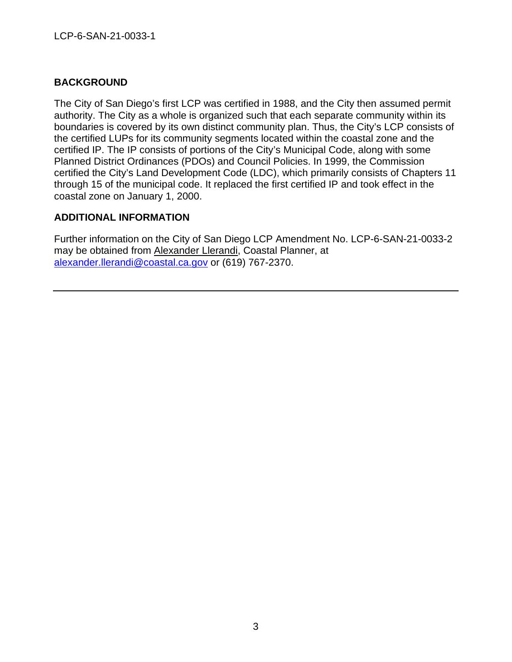### **BACKGROUND**

The City of San Diego's first LCP was certified in 1988, and the City then assumed permit authority. The City as a whole is organized such that each separate community within its boundaries is covered by its own distinct community plan. Thus, the City's LCP consists of the certified LUPs for its community segments located within the coastal zone and the certified IP. The IP consists of portions of the City's Municipal Code, along with some Planned District Ordinances (PDOs) and Council Policies. In 1999, the Commission certified the City's Land Development Code (LDC), which primarily consists of Chapters 11 through 15 of the municipal code. It replaced the first certified IP and took effect in the coastal zone on January 1, 2000.

### **ADDITIONAL INFORMATION**

Further information on the City of San Diego LCP Amendment No. LCP-6-SAN-21-0033-2 may be obtained from Alexander Llerandi, Coastal Planner, at [alexander.llerandi@coastal.ca.gov](mailto:alexander.llerandi@coastal.ca.gov) or (619) 767-2370.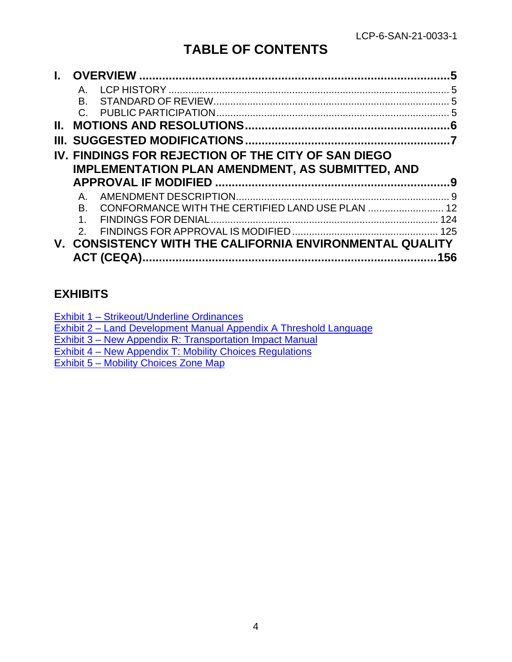# **TABLE OF CONTENTS**

|    |                                                              | 5               |
|----|--------------------------------------------------------------|-----------------|
|    | $A_{-}$                                                      | $5\overline{5}$ |
|    | B.                                                           |                 |
|    |                                                              |                 |
| Н. |                                                              |                 |
|    |                                                              |                 |
|    | IV. FINDINGS FOR REJECTION OF THE CITY OF SAN DIEGO          |                 |
|    | <b>IMPLEMENTATION PLAN AMENDMENT, AS SUBMITTED, AND</b>      |                 |
|    |                                                              |                 |
|    |                                                              |                 |
|    | Α.                                                           |                 |
|    | B.                                                           |                 |
|    | $1_{-}$                                                      |                 |
|    | $\mathcal{P}$                                                |                 |
|    | <b>CONSISTENCY WITH THE CALIFORNIA ENVIRONMENTAL QUALITY</b> |                 |

## **EXHIBITS**

[Exhibit 2 – Land Development Manual Appendix A Threshold Language](https://documents.coastal.ca.gov/reports/2022/4/F9b/F9b-4-2022-exhibits.pdf)

[Exhibit 3 – New Appendix R: Transportation Impact Manual](https://documents.coastal.ca.gov/reports/2022/4/F9b/F9b-4-2022-exhibits.pdf)

[Exhibit 4 – New Appendix T: Mobility Choices Regulations](https://documents.coastal.ca.gov/reports/2022/4/F9b/F9b-4-2022-exhibits.pdf)

[Exhibit 5 – Mobility Choices Zone Map](https://documents.coastal.ca.gov/reports/2022/4/F9b/F9b-4-2022-exhibits.pdf)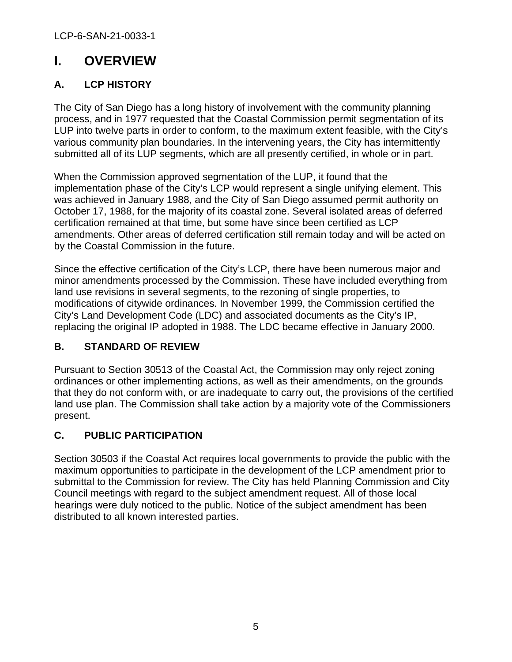# <span id="page-4-0"></span>**I. OVERVIEW**

## <span id="page-4-1"></span>**A. LCP HISTORY**

The City of San Diego has a long history of involvement with the community planning process, and in 1977 requested that the Coastal Commission permit segmentation of its LUP into twelve parts in order to conform, to the maximum extent feasible, with the City's various community plan boundaries. In the intervening years, the City has intermittently submitted all of its LUP segments, which are all presently certified, in whole or in part.

When the Commission approved segmentation of the LUP, it found that the implementation phase of the City's LCP would represent a single unifying element. This was achieved in January 1988, and the City of San Diego assumed permit authority on October 17, 1988, for the majority of its coastal zone. Several isolated areas of deferred certification remained at that time, but some have since been certified as LCP amendments. Other areas of deferred certification still remain today and will be acted on by the Coastal Commission in the future.

Since the effective certification of the City's LCP, there have been numerous major and minor amendments processed by the Commission. These have included everything from land use revisions in several segments, to the rezoning of single properties, to modifications of citywide ordinances. In November 1999, the Commission certified the City's Land Development Code (LDC) and associated documents as the City's IP, replacing the original IP adopted in 1988. The LDC became effective in January 2000.

## <span id="page-4-2"></span>**B. STANDARD OF REVIEW**

Pursuant to Section 30513 of the Coastal Act, the Commission may only reject zoning ordinances or other implementing actions, as well as their amendments, on the grounds that they do not conform with, or are inadequate to carry out, the provisions of the certified land use plan. The Commission shall take action by a majority vote of the Commissioners present.

## <span id="page-4-3"></span>**C. PUBLIC PARTICIPATION**

Section 30503 if the Coastal Act requires local governments to provide the public with the maximum opportunities to participate in the development of the LCP amendment prior to submittal to the Commission for review. The City has held Planning Commission and City Council meetings with regard to the subject amendment request. All of those local hearings were duly noticed to the public. Notice of the subject amendment has been distributed to all known interested parties.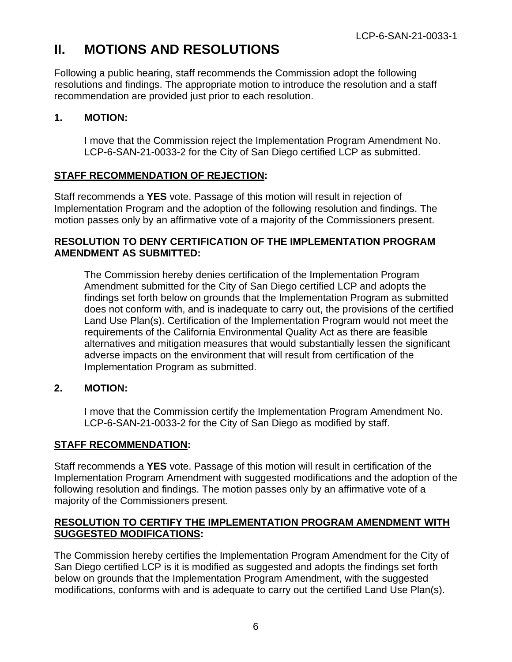## <span id="page-5-0"></span>**II. MOTIONS AND RESOLUTIONS**

Following a public hearing, staff recommends the Commission adopt the following resolutions and findings. The appropriate motion to introduce the resolution and a staff recommendation are provided just prior to each resolution.

### **1. MOTION:**

I move that the Commission reject the Implementation Program Amendment No. LCP-6-SAN-21-0033-2 for the City of San Diego certified LCP as submitted.

## **STAFF RECOMMENDATION OF REJECTION:**

Staff recommends a **YES** vote. Passage of this motion will result in rejection of Implementation Program and the adoption of the following resolution and findings. The motion passes only by an affirmative vote of a majority of the Commissioners present.

### **RESOLUTION TO DENY CERTIFICATION OF THE IMPLEMENTATION PROGRAM AMENDMENT AS SUBMITTED:**

The Commission hereby denies certification of the Implementation Program Amendment submitted for the City of San Diego certified LCP and adopts the findings set forth below on grounds that the Implementation Program as submitted does not conform with, and is inadequate to carry out, the provisions of the certified Land Use Plan(s). Certification of the Implementation Program would not meet the requirements of the California Environmental Quality Act as there are feasible alternatives and mitigation measures that would substantially lessen the significant adverse impacts on the environment that will result from certification of the Implementation Program as submitted.

### **2. MOTION:**

I move that the Commission certify the Implementation Program Amendment No. LCP-6-SAN-21-0033-2 for the City of San Diego as modified by staff.

### **STAFF RECOMMENDATION:**

Staff recommends a **YES** vote. Passage of this motion will result in certification of the Implementation Program Amendment with suggested modifications and the adoption of the following resolution and findings. The motion passes only by an affirmative vote of a majority of the Commissioners present.

### **RESOLUTION TO CERTIFY THE IMPLEMENTATION PROGRAM AMENDMENT WITH SUGGESTED MODIFICATIONS:**

The Commission hereby certifies the Implementation Program Amendment for the City of San Diego certified LCP is it is modified as suggested and adopts the findings set forth below on grounds that the Implementation Program Amendment, with the suggested modifications, conforms with and is adequate to carry out the certified Land Use Plan(s).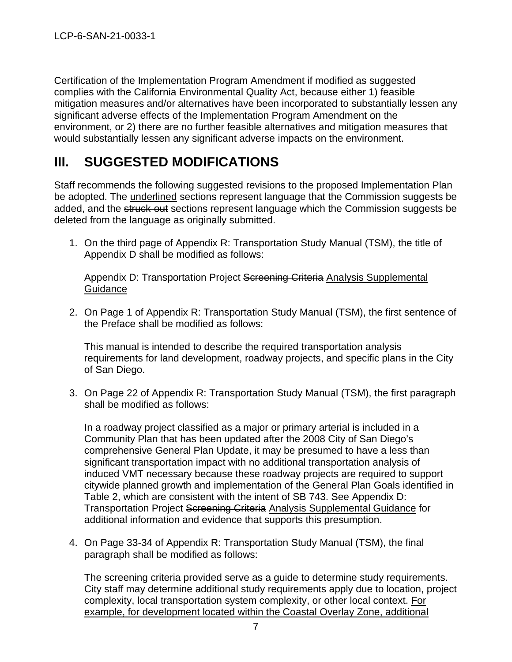Certification of the Implementation Program Amendment if modified as suggested complies with the California Environmental Quality Act, because either 1) feasible mitigation measures and/or alternatives have been incorporated to substantially lessen any significant adverse effects of the Implementation Program Amendment on the environment, or 2) there are no further feasible alternatives and mitigation measures that would substantially lessen any significant adverse impacts on the environment.

# <span id="page-6-0"></span>**III. SUGGESTED MODIFICATIONS**

Staff recommends the following suggested revisions to the proposed Implementation Plan be adopted. The underlined sections represent language that the Commission suggests be added, and the struck-out sections represent language which the Commission suggests be deleted from the language as originally submitted.

1. On the third page of Appendix R: Transportation Study Manual (TSM), the title of Appendix D shall be modified as follows:

Appendix D: Transportation Project Screening Criteria Analysis Supplemental **Guidance** 

2. On Page 1 of Appendix R: Transportation Study Manual (TSM), the first sentence of the Preface shall be modified as follows:

This manual is intended to describe the required transportation analysis requirements for land development, roadway projects, and specific plans in the City of San Diego.

3. On Page 22 of Appendix R: Transportation Study Manual (TSM), the first paragraph shall be modified as follows:

In a roadway project classified as a major or primary arterial is included in a Community Plan that has been updated after the 2008 City of San Diego's comprehensive General Plan Update, it may be presumed to have a less than significant transportation impact with no additional transportation analysis of induced VMT necessary because these roadway projects are required to support citywide planned growth and implementation of the General Plan Goals identified in Table 2, which are consistent with the intent of SB 743. See Appendix D: Transportation Project Screening Criteria Analysis Supplemental Guidance for additional information and evidence that supports this presumption.

4. On Page 33-34 of Appendix R: Transportation Study Manual (TSM), the final paragraph shall be modified as follows:

The screening criteria provided serve as a guide to determine study requirements. City staff may determine additional study requirements apply due to location, project complexity, local transportation system complexity, or other local context. For example, for development located within the Coastal Overlay Zone, additional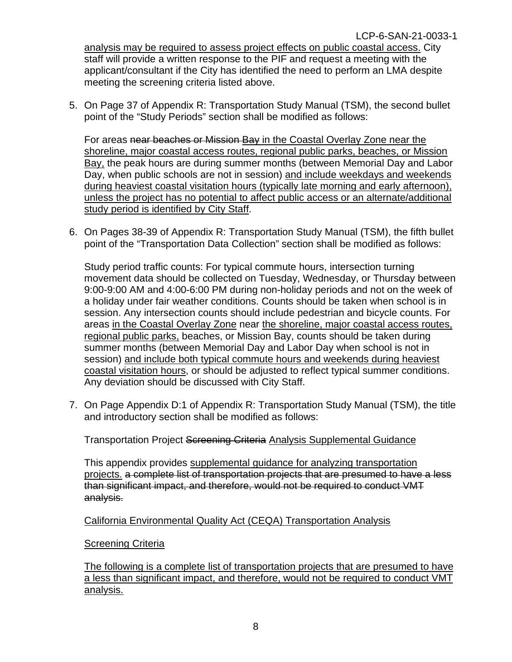analysis may be required to assess project effects on public coastal access. City staff will provide a written response to the PIF and request a meeting with the applicant/consultant if the City has identified the need to perform an LMA despite meeting the screening criteria listed above.

5. On Page 37 of Appendix R: Transportation Study Manual (TSM), the second bullet point of the "Study Periods" section shall be modified as follows:

For areas near beaches or Mission Bay in the Coastal Overlay Zone near the shoreline, major coastal access routes, regional public parks, beaches, or Mission Bay, the peak hours are during summer months (between Memorial Day and Labor Day, when public schools are not in session) and include weekdays and weekends during heaviest coastal visitation hours (typically late morning and early afternoon), unless the project has no potential to affect public access or an alternate/additional study period is identified by City Staff.

6. On Pages 38-39 of Appendix R: Transportation Study Manual (TSM), the fifth bullet point of the "Transportation Data Collection" section shall be modified as follows:

Study period traffic counts: For typical commute hours, intersection turning movement data should be collected on Tuesday, Wednesday, or Thursday between 9:00-9:00 AM and 4:00-6:00 PM during non-holiday periods and not on the week of a holiday under fair weather conditions. Counts should be taken when school is in session. Any intersection counts should include pedestrian and bicycle counts. For areas in the Coastal Overlay Zone near the shoreline, major coastal access routes, regional public parks, beaches, or Mission Bay, counts should be taken during summer months (between Memorial Day and Labor Day when school is not in session) and include both typical commute hours and weekends during heaviest coastal visitation hours, or should be adjusted to reflect typical summer conditions. Any deviation should be discussed with City Staff.

7. On Page Appendix D:1 of Appendix R: Transportation Study Manual (TSM), the title and introductory section shall be modified as follows:

Transportation Project Screening Criteria Analysis Supplemental Guidance

This appendix provides supplemental guidance for analyzing transportation projects. a complete list of transportation projects that are presumed to have a less than significant impact, and therefore, would not be required to conduct VMT analysis.

### California Environmental Quality Act (CEQA) Transportation Analysis

#### Screening Criteria

The following is a complete list of transportation projects that are presumed to have a less than significant impact, and therefore, would not be required to conduct VMT analysis.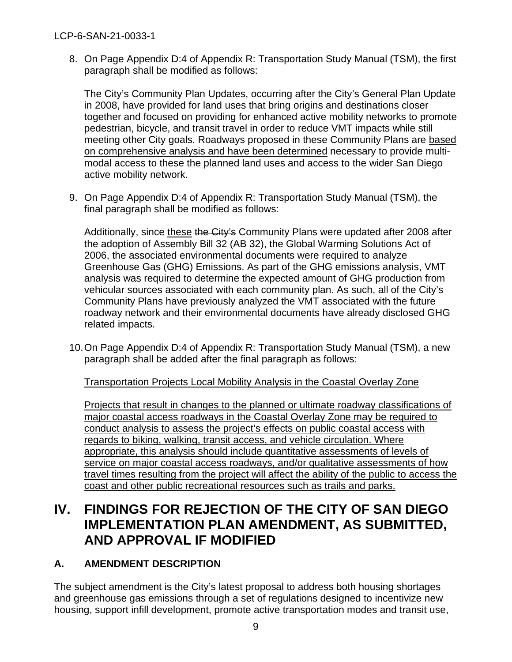8. On Page Appendix D:4 of Appendix R: Transportation Study Manual (TSM), the first paragraph shall be modified as follows:

The City's Community Plan Updates, occurring after the City's General Plan Update in 2008, have provided for land uses that bring origins and destinations closer together and focused on providing for enhanced active mobility networks to promote pedestrian, bicycle, and transit travel in order to reduce VMT impacts while still meeting other City goals. Roadways proposed in these Community Plans are based on comprehensive analysis and have been determined necessary to provide multimodal access to these the planned land uses and access to the wider San Diego active mobility network.

9. On Page Appendix D:4 of Appendix R: Transportation Study Manual (TSM), the final paragraph shall be modified as follows:

Additionally, since these the City's Community Plans were updated after 2008 after the adoption of Assembly Bill 32 (AB 32), the Global Warming Solutions Act of 2006, the associated environmental documents were required to analyze Greenhouse Gas (GHG) Emissions. As part of the GHG emissions analysis, VMT analysis was required to determine the expected amount of GHG production from vehicular sources associated with each community plan. As such, all of the City's Community Plans have previously analyzed the VMT associated with the future roadway network and their environmental documents have already disclosed GHG related impacts.

10.On Page Appendix D:4 of Appendix R: Transportation Study Manual (TSM), a new paragraph shall be added after the final paragraph as follows:

Transportation Projects Local Mobility Analysis in the Coastal Overlay Zone

Projects that result in changes to the planned or ultimate roadway classifications of major coastal access roadways in the Coastal Overlay Zone may be required to conduct analysis to assess the project's effects on public coastal access with regards to biking, walking, transit access, and vehicle circulation. Where appropriate, this analysis should include quantitative assessments of levels of service on major coastal access roadways, and/or qualitative assessments of how travel times resulting from the project will affect the ability of the public to access the coast and other public recreational resources such as trails and parks.

## <span id="page-8-0"></span>**IV. FINDINGS FOR REJECTION OF THE CITY OF SAN DIEGO IMPLEMENTATION PLAN AMENDMENT, AS SUBMITTED, AND APPROVAL IF MODIFIED**

## <span id="page-8-1"></span>**A. AMENDMENT DESCRIPTION**

The subject amendment is the City's latest proposal to address both housing shortages and greenhouse gas emissions through a set of regulations designed to incentivize new housing, support infill development, promote active transportation modes and transit use,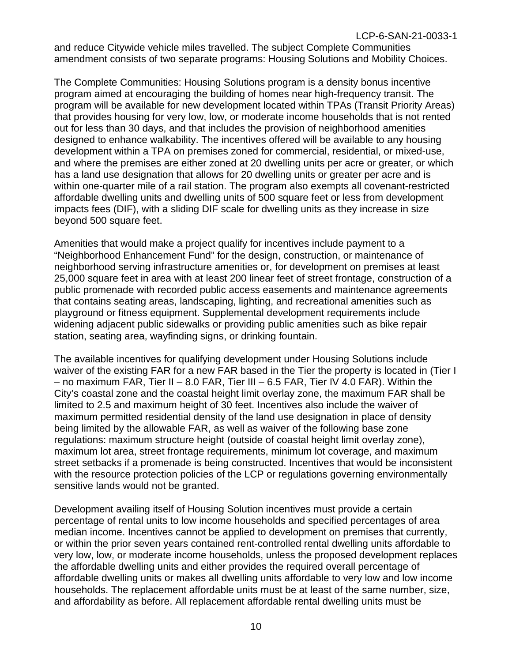and reduce Citywide vehicle miles travelled. The subject Complete Communities amendment consists of two separate programs: Housing Solutions and Mobility Choices.

The Complete Communities: Housing Solutions program is a density bonus incentive program aimed at encouraging the building of homes near high-frequency transit. The program will be available for new development located within TPAs (Transit Priority Areas) that provides housing for very low, low, or moderate income households that is not rented out for less than 30 days, and that includes the provision of neighborhood amenities designed to enhance walkability. The incentives offered will be available to any housing development within a TPA on premises zoned for commercial, residential, or mixed-use, and where the premises are either zoned at 20 dwelling units per acre or greater, or which has a land use designation that allows for 20 dwelling units or greater per acre and is within one-quarter mile of a rail station. The program also exempts all covenant-restricted affordable dwelling units and dwelling units of 500 square feet or less from development impacts fees (DIF), with a sliding DIF scale for dwelling units as they increase in size beyond 500 square feet.

Amenities that would make a project qualify for incentives include payment to a "Neighborhood Enhancement Fund" for the design, construction, or maintenance of neighborhood serving infrastructure amenities or, for development on premises at least 25,000 square feet in area with at least 200 linear feet of street frontage, construction of a public promenade with recorded public access easements and maintenance agreements that contains seating areas, landscaping, lighting, and recreational amenities such as playground or fitness equipment. Supplemental development requirements include widening adjacent public sidewalks or providing public amenities such as bike repair station, seating area, wayfinding signs, or drinking fountain.

The available incentives for qualifying development under Housing Solutions include waiver of the existing FAR for a new FAR based in the Tier the property is located in (Tier I – no maximum FAR, Tier II – 8.0 FAR, Tier III – 6.5 FAR, Tier IV 4.0 FAR). Within the City's coastal zone and the coastal height limit overlay zone, the maximum FAR shall be limited to 2.5 and maximum height of 30 feet. Incentives also include the waiver of maximum permitted residential density of the land use designation in place of density being limited by the allowable FAR, as well as waiver of the following base zone regulations: maximum structure height (outside of coastal height limit overlay zone), maximum lot area, street frontage requirements, minimum lot coverage, and maximum street setbacks if a promenade is being constructed. Incentives that would be inconsistent with the resource protection policies of the LCP or regulations governing environmentally sensitive lands would not be granted.

Development availing itself of Housing Solution incentives must provide a certain percentage of rental units to low income households and specified percentages of area median income. Incentives cannot be applied to development on premises that currently, or within the prior seven years contained rent-controlled rental dwelling units affordable to very low, low, or moderate income households, unless the proposed development replaces the affordable dwelling units and either provides the required overall percentage of affordable dwelling units or makes all dwelling units affordable to very low and low income households. The replacement affordable units must be at least of the same number, size, and affordability as before. All replacement affordable rental dwelling units must be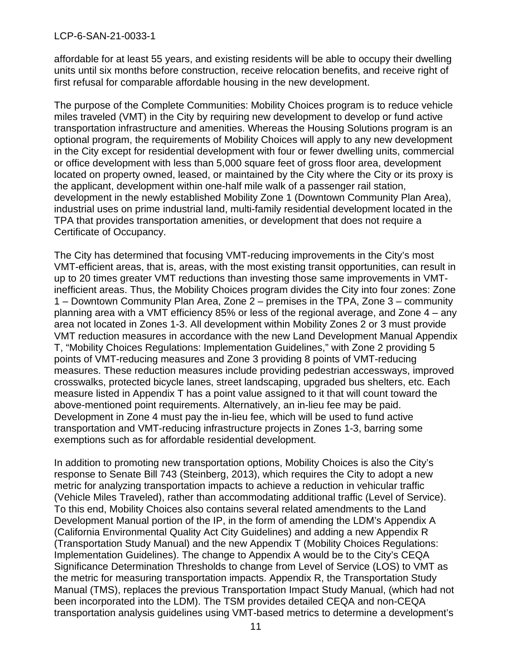affordable for at least 55 years, and existing residents will be able to occupy their dwelling units until six months before construction, receive relocation benefits, and receive right of first refusal for comparable affordable housing in the new development.

The purpose of the Complete Communities: Mobility Choices program is to reduce vehicle miles traveled (VMT) in the City by requiring new development to develop or fund active transportation infrastructure and amenities. Whereas the Housing Solutions program is an optional program, the requirements of Mobility Choices will apply to any new development in the City except for residential development with four or fewer dwelling units, commercial or office development with less than 5,000 square feet of gross floor area, development located on property owned, leased, or maintained by the City where the City or its proxy is the applicant, development within one-half mile walk of a passenger rail station, development in the newly established Mobility Zone 1 (Downtown Community Plan Area), industrial uses on prime industrial land, multi-family residential development located in the TPA that provides transportation amenities, or development that does not require a Certificate of Occupancy.

The City has determined that focusing VMT-reducing improvements in the City's most VMT-efficient areas, that is, areas, with the most existing transit opportunities, can result in up to 20 times greater VMT reductions than investing those same improvements in VMTinefficient areas. Thus, the Mobility Choices program divides the City into four zones: Zone 1 – Downtown Community Plan Area, Zone 2 – premises in the TPA, Zone 3 – community planning area with a VMT efficiency 85% or less of the regional average, and Zone 4 – any area not located in Zones 1-3. All development within Mobility Zones 2 or 3 must provide VMT reduction measures in accordance with the new Land Development Manual Appendix T, "Mobility Choices Regulations: Implementation Guidelines," with Zone 2 providing 5 points of VMT-reducing measures and Zone 3 providing 8 points of VMT-reducing measures. These reduction measures include providing pedestrian accessways, improved crosswalks, protected bicycle lanes, street landscaping, upgraded bus shelters, etc. Each measure listed in Appendix T has a point value assigned to it that will count toward the above-mentioned point requirements. Alternatively, an in-lieu fee may be paid. Development in Zone 4 must pay the in-lieu fee, which will be used to fund active transportation and VMT-reducing infrastructure projects in Zones 1-3, barring some exemptions such as for affordable residential development.

In addition to promoting new transportation options, Mobility Choices is also the City's response to Senate Bill 743 (Steinberg, 2013), which requires the City to adopt a new metric for analyzing transportation impacts to achieve a reduction in vehicular traffic (Vehicle Miles Traveled), rather than accommodating additional traffic (Level of Service). To this end, Mobility Choices also contains several related amendments to the Land Development Manual portion of the IP, in the form of amending the LDM's Appendix A (California Environmental Quality Act City Guidelines) and adding a new Appendix R (Transportation Study Manual) and the new Appendix T (Mobility Choices Regulations: Implementation Guidelines). The change to Appendix A would be to the City's CEQA Significance Determination Thresholds to change from Level of Service (LOS) to VMT as the metric for measuring transportation impacts. Appendix R, the Transportation Study Manual (TMS), replaces the previous Transportation Impact Study Manual, (which had not been incorporated into the LDM). The TSM provides detailed CEQA and non-CEQA transportation analysis guidelines using VMT-based metrics to determine a development's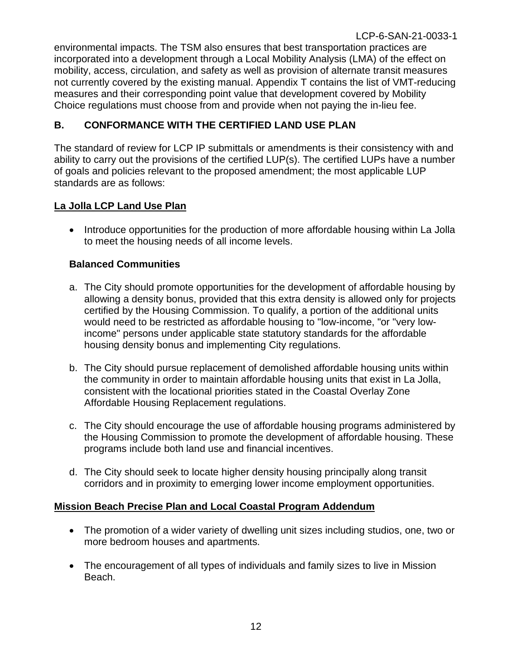environmental impacts. The TSM also ensures that best transportation practices are incorporated into a development through a Local Mobility Analysis (LMA) of the effect on mobility, access, circulation, and safety as well as provision of alternate transit measures not currently covered by the existing manual. Appendix T contains the list of VMT-reducing measures and their corresponding point value that development covered by Mobility Choice regulations must choose from and provide when not paying the in-lieu fee.

### <span id="page-11-0"></span>**B. CONFORMANCE WITH THE CERTIFIED LAND USE PLAN**

The standard of review for LCP IP submittals or amendments is their consistency with and ability to carry out the provisions of the certified LUP(s). The certified LUPs have a number of goals and policies relevant to the proposed amendment; the most applicable LUP standards are as follows:

### **La Jolla LCP Land Use Plan**

• Introduce opportunities for the production of more affordable housing within La Jolla to meet the housing needs of all income levels.

### **Balanced Communities**

- a. The City should promote opportunities for the development of affordable housing by allowing a density bonus, provided that this extra density is allowed only for projects certified by the Housing Commission. To qualify, a portion of the additional units would need to be restricted as affordable housing to "low-income, "or "very lowincome" persons under applicable state statutory standards for the affordable housing density bonus and implementing City regulations.
- b. The City should pursue replacement of demolished affordable housing units within the community in order to maintain affordable housing units that exist in La Jolla, consistent with the locational priorities stated in the Coastal Overlay Zone Affordable Housing Replacement regulations.
- c. The City should encourage the use of affordable housing programs administered by the Housing Commission to promote the development of affordable housing. These programs include both land use and financial incentives.
- d. The City should seek to locate higher density housing principally along transit corridors and in proximity to emerging lower income employment opportunities.

### **Mission Beach Precise Plan and Local Coastal Program Addendum**

- The promotion of a wider variety of dwelling unit sizes including studios, one, two or more bedroom houses and apartments.
- The encouragement of all types of individuals and family sizes to live in Mission Beach.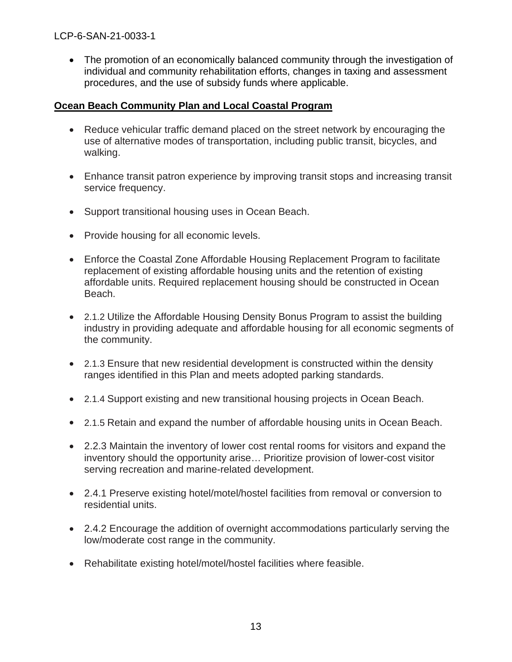• The promotion of an economically balanced community through the investigation of individual and community rehabilitation efforts, changes in taxing and assessment procedures, and the use of subsidy funds where applicable.

### **Ocean Beach Community Plan and Local Coastal Program**

- Reduce vehicular traffic demand placed on the street network by encouraging the use of alternative modes of transportation, including public transit, bicycles, and walking.
- Enhance transit patron experience by improving transit stops and increasing transit service frequency.
- Support transitional housing uses in Ocean Beach.
- Provide housing for all economic levels.
- Enforce the Coastal Zone Affordable Housing Replacement Program to facilitate replacement of existing affordable housing units and the retention of existing affordable units. Required replacement housing should be constructed in Ocean Beach.
- 2.1.2 Utilize the Affordable Housing Density Bonus Program to assist the building industry in providing adequate and affordable housing for all economic segments of the community.
- 2.1.3 Ensure that new residential development is constructed within the density ranges identified in this Plan and meets adopted parking standards.
- 2.1.4 Support existing and new transitional housing projects in Ocean Beach.
- 2.1.5 Retain and expand the number of affordable housing units in Ocean Beach.
- 2.2.3 Maintain the inventory of lower cost rental rooms for visitors and expand the inventory should the opportunity arise… Prioritize provision of lower-cost visitor serving recreation and marine-related development.
- 2.4.1 Preserve existing hotel/motel/hostel facilities from removal or conversion to residential units.
- 2.4.2 Encourage the addition of overnight accommodations particularly serving the low/moderate cost range in the community.
- Rehabilitate existing hotel/motel/hostel facilities where feasible.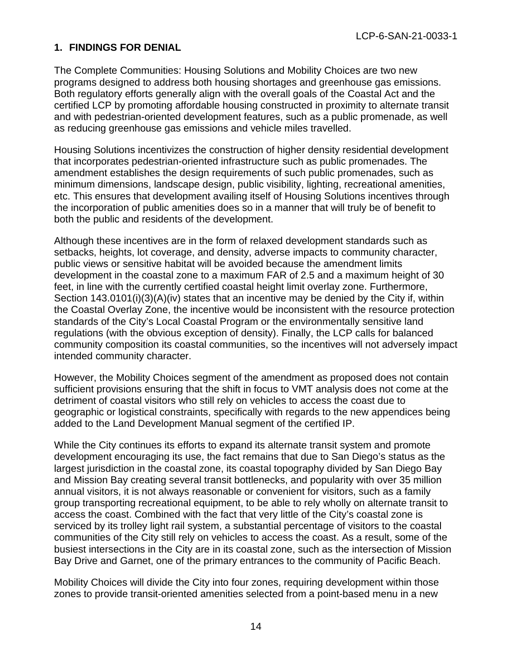### **1. FINDINGS FOR DENIAL**

The Complete Communities: Housing Solutions and Mobility Choices are two new programs designed to address both housing shortages and greenhouse gas emissions. Both regulatory efforts generally align with the overall goals of the Coastal Act and the certified LCP by promoting affordable housing constructed in proximity to alternate transit and with pedestrian-oriented development features, such as a public promenade, as well as reducing greenhouse gas emissions and vehicle miles travelled.

Housing Solutions incentivizes the construction of higher density residential development that incorporates pedestrian-oriented infrastructure such as public promenades. The amendment establishes the design requirements of such public promenades, such as minimum dimensions, landscape design, public visibility, lighting, recreational amenities, etc. This ensures that development availing itself of Housing Solutions incentives through the incorporation of public amenities does so in a manner that will truly be of benefit to both the public and residents of the development.

Although these incentives are in the form of relaxed development standards such as setbacks, heights, lot coverage, and density, adverse impacts to community character, public views or sensitive habitat will be avoided because the amendment limits development in the coastal zone to a maximum FAR of 2.5 and a maximum height of 30 feet, in line with the currently certified coastal height limit overlay zone. Furthermore, Section 143.0101(i)(3)(A)(iv) states that an incentive may be denied by the City if, within the Coastal Overlay Zone, the incentive would be inconsistent with the resource protection standards of the City's Local Coastal Program or the environmentally sensitive land regulations (with the obvious exception of density). Finally, the LCP calls for balanced community composition its coastal communities, so the incentives will not adversely impact intended community character.

However, the Mobility Choices segment of the amendment as proposed does not contain sufficient provisions ensuring that the shift in focus to VMT analysis does not come at the detriment of coastal visitors who still rely on vehicles to access the coast due to geographic or logistical constraints, specifically with regards to the new appendices being added to the Land Development Manual segment of the certified IP.

While the City continues its efforts to expand its alternate transit system and promote development encouraging its use, the fact remains that due to San Diego's status as the largest jurisdiction in the coastal zone, its coastal topography divided by San Diego Bay and Mission Bay creating several transit bottlenecks, and popularity with over 35 million annual visitors, it is not always reasonable or convenient for visitors, such as a family group transporting recreational equipment, to be able to rely wholly on alternate transit to access the coast. Combined with the fact that very little of the City's coastal zone is serviced by its trolley light rail system, a substantial percentage of visitors to the coastal communities of the City still rely on vehicles to access the coast. As a result, some of the busiest intersections in the City are in its coastal zone, such as the intersection of Mission Bay Drive and Garnet, one of the primary entrances to the community of Pacific Beach.

Mobility Choices will divide the City into four zones, requiring development within those zones to provide transit-oriented amenities selected from a point-based menu in a new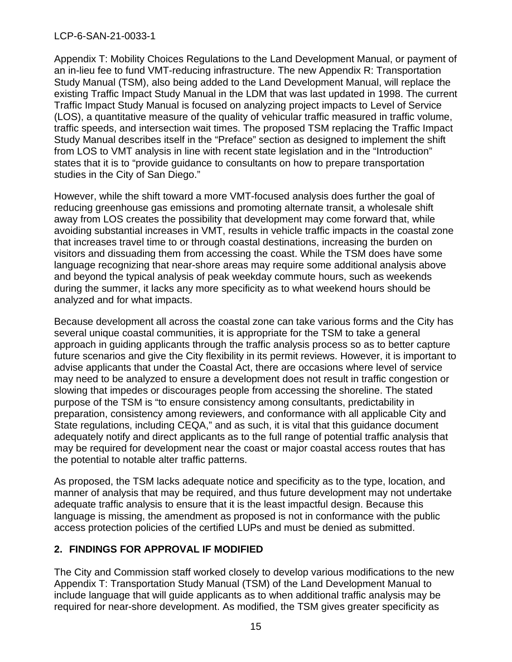Appendix T: Mobility Choices Regulations to the Land Development Manual, or payment of an in-lieu fee to fund VMT-reducing infrastructure. The new Appendix R: Transportation Study Manual (TSM), also being added to the Land Development Manual, will replace the existing Traffic Impact Study Manual in the LDM that was last updated in 1998. The current Traffic Impact Study Manual is focused on analyzing project impacts to Level of Service (LOS), a quantitative measure of the quality of vehicular traffic measured in traffic volume, traffic speeds, and intersection wait times. The proposed TSM replacing the Traffic Impact Study Manual describes itself in the "Preface" section as designed to implement the shift from LOS to VMT analysis in line with recent state legislation and in the "Introduction" states that it is to "provide guidance to consultants on how to prepare transportation studies in the City of San Diego."

However, while the shift toward a more VMT-focused analysis does further the goal of reducing greenhouse gas emissions and promoting alternate transit, a wholesale shift away from LOS creates the possibility that development may come forward that, while avoiding substantial increases in VMT, results in vehicle traffic impacts in the coastal zone that increases travel time to or through coastal destinations, increasing the burden on visitors and dissuading them from accessing the coast. While the TSM does have some language recognizing that near-shore areas may require some additional analysis above and beyond the typical analysis of peak weekday commute hours, such as weekends during the summer, it lacks any more specificity as to what weekend hours should be analyzed and for what impacts.

Because development all across the coastal zone can take various forms and the City has several unique coastal communities, it is appropriate for the TSM to take a general approach in guiding applicants through the traffic analysis process so as to better capture future scenarios and give the City flexibility in its permit reviews. However, it is important to advise applicants that under the Coastal Act, there are occasions where level of service may need to be analyzed to ensure a development does not result in traffic congestion or slowing that impedes or discourages people from accessing the shoreline. The stated purpose of the TSM is "to ensure consistency among consultants, predictability in preparation, consistency among reviewers, and conformance with all applicable City and State regulations, including CEQA," and as such, it is vital that this guidance document adequately notify and direct applicants as to the full range of potential traffic analysis that may be required for development near the coast or major coastal access routes that has the potential to notable alter traffic patterns.

As proposed, the TSM lacks adequate notice and specificity as to the type, location, and manner of analysis that may be required, and thus future development may not undertake adequate traffic analysis to ensure that it is the least impactful design. Because this language is missing, the amendment as proposed is not in conformance with the public access protection policies of the certified LUPs and must be denied as submitted.

### **2. FINDINGS FOR APPROVAL IF MODIFIED**

<span id="page-14-0"></span>The City and Commission staff worked closely to develop various modifications to the new Appendix T: Transportation Study Manual (TSM) of the Land Development Manual to include language that will guide applicants as to when additional traffic analysis may be required for near-shore development. As modified, the TSM gives greater specificity as